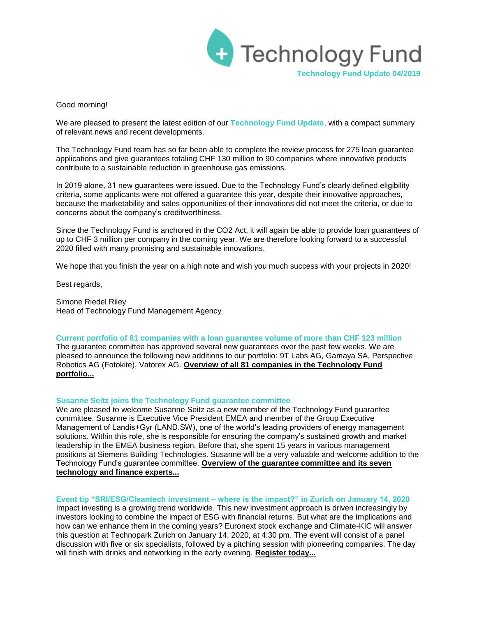

#### Good morning!

We are pleased to present the latest edition of our **Technology Fund Update**, with a compact summary of relevant news and recent developments.

The Technology Fund team has so far been able to complete the review process for 275 loan guarantee applications and give guarantees totaling CHF 130 million to 90 companies where innovative products contribute to a sustainable reduction in greenhouse gas emissions.

In 2019 alone, 31 new guarantees were issued. Due to the Technology Fund's clearly defined eligibility criteria, some applicants were not offered a guarantee this year, despite their innovative approaches, because the marketability and sales opportunities of their innovations did not meet the criteria, or due to concerns about the company's creditworthiness.

Since the Technology Fund is anchored in the CO2 Act, it will again be able to provide loan guarantees of up to CHF 3 million per company in the coming year. We are therefore looking forward to a successful 2020 filled with many promising and sustainable innovations.

We hope that you finish the year on a high note and wish you much success with your projects in 2020!

Best regards,

Simone Riedel Riley Head of Technology Fund Management Agency

# **Current portfolio of 81 companies with a loan guarantee volume of more than CHF 123 million**

The guarantee committee has approved several new guarantees over the past few weeks. We are pleased to announce the following new additions to our portfolio: 9T Labs AG, Gamaya SA, Perspective Robotics AG (Fotokite), Vatorex AG. **[Overview of all 81 companies in the Technology Fund](http://www.technologyfund.ch/portfolio/)  [portfolio...](http://www.technologyfund.ch/portfolio/)**

### **Susanne Seitz joins the Technology Fund guarantee committee**

We are pleased to welcome Susanne Seitz as a new member of the Technology Fund guarantee committee. Susanne is Executive Vice President EMEA and member of the Group Executive Management of Landis+Gyr (LAND.SW), one of the world's leading providers of energy management solutions. Within this role, she is responsible for ensuring the company's sustained growth and market leadership in the EMEA business region. Before that, she spent 15 years in various management positions at Siemens Building Technologies. Susanne will be a very valuable and welcome addition to the Technology Fund's guarantee committee. **[Overview of the guarantee committee and its seven](https://www.technologyfund.ch/organisation/expert-committee/)  [technology and finance experts...](https://www.technologyfund.ch/organisation/expert-committee/)**

### **Event tip "SRI/ESG/Cleantech investment – where is the impact?" in Zurich on January 14, 2020**

Impact investing is a growing trend worldwide. This new investment approach is driven increasingly by investors looking to combine the impact of ESG with financial returns. But what are the implications and how can we enhance them in the coming years? Euronext stock exchange and Climate-KIC will answer this question at Technopark Zurich on January 14, 2020, at 4:30 pm. The event will consist of a panel discussion with five or six specialists, followed by a pitching session with pioneering companies. The day will finish with drinks and networking in the early evening. **[Register today...](http://webcrm.euronext.com/euronextcom-axkgn/pages/mjv41pgeeempiwaisafm1g.html)**